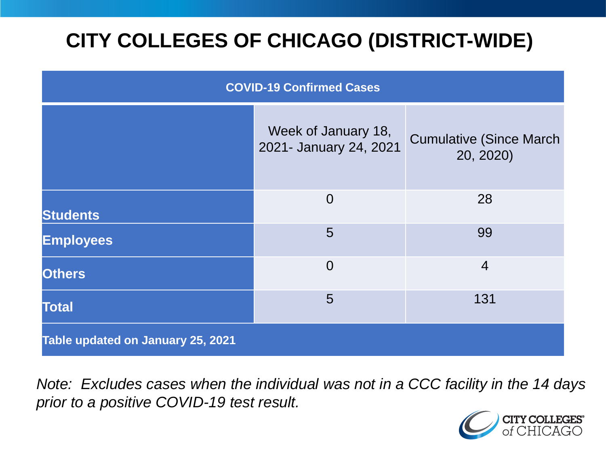# **CITY COLLEGES OF CHICAGO (DISTRICT-WIDE)**

| <b>COVID-19 Confirmed Cases</b>   |                                               |                                              |
|-----------------------------------|-----------------------------------------------|----------------------------------------------|
|                                   | Week of January 18,<br>2021- January 24, 2021 | <b>Cumulative (Since March)</b><br>20, 2020) |
| <b>Students</b>                   | $\overline{0}$                                | 28                                           |
| <b>Employees</b>                  | 5                                             | 99                                           |
| <b>Others</b>                     | $\overline{0}$                                | $\overline{4}$                               |
| <b>Total</b>                      | 5                                             | 131                                          |
| Table updated on January 25, 2021 |                                               |                                              |

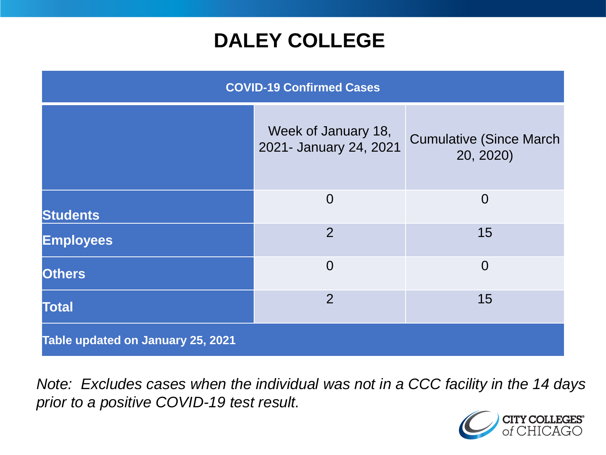## **DALEY COLLEGE**

| <b>COVID-19 Confirmed Cases</b>   |                                               |                                              |
|-----------------------------------|-----------------------------------------------|----------------------------------------------|
|                                   | Week of January 18,<br>2021- January 24, 2021 | <b>Cumulative (Since March)</b><br>20, 2020) |
| <b>Students</b>                   | $\overline{0}$                                | $\overline{0}$                               |
| <b>Employees</b>                  | $\overline{2}$                                | 15                                           |
| <b>Others</b>                     | $\overline{0}$                                | $\overline{0}$                               |
| <b>Total</b>                      | $\overline{2}$                                | 15                                           |
| Table updated on January 25, 2021 |                                               |                                              |

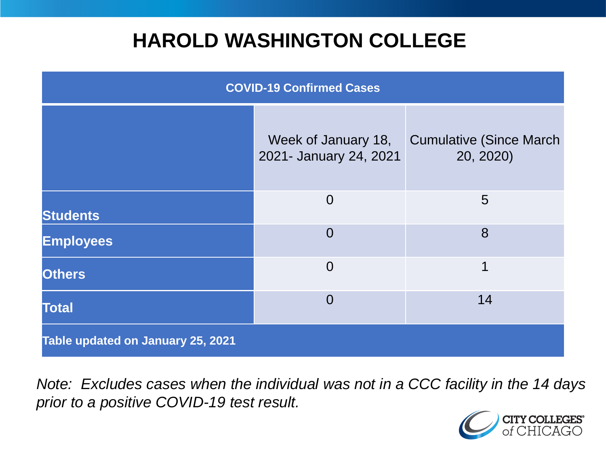## **HAROLD WASHINGTON COLLEGE**

| <b>COVID-19 Confirmed Cases</b>   |                                               |                                              |
|-----------------------------------|-----------------------------------------------|----------------------------------------------|
|                                   | Week of January 18,<br>2021- January 24, 2021 | <b>Cumulative (Since March)</b><br>20, 2020) |
| <b>Students</b>                   | $\overline{0}$                                | $5\overline{)}$                              |
| <b>Employees</b>                  | $\Omega$                                      | 8                                            |
| <b>Others</b>                     | $\overline{0}$                                | 1                                            |
| <b>Total</b>                      | $\Omega$                                      | 14                                           |
| Table updated on January 25, 2021 |                                               |                                              |

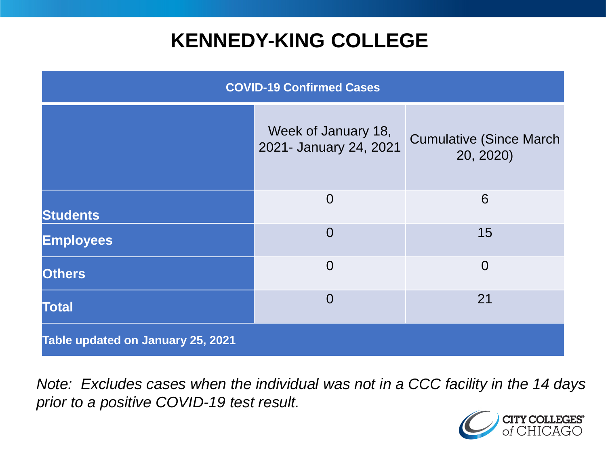## **KENNEDY-KING COLLEGE**

| <b>COVID-19 Confirmed Cases</b>   |                                               |                                              |
|-----------------------------------|-----------------------------------------------|----------------------------------------------|
|                                   | Week of January 18,<br>2021- January 24, 2021 | <b>Cumulative (Since March)</b><br>20, 2020) |
| <b>Students</b>                   | $\overline{0}$                                | 6                                            |
| <b>Employees</b>                  | $\overline{0}$                                | 15                                           |
| <b>Others</b>                     | $\overline{0}$                                | $\overline{0}$                               |
| <b>Total</b>                      | $\overline{0}$                                | 21                                           |
| Table updated on January 25, 2021 |                                               |                                              |

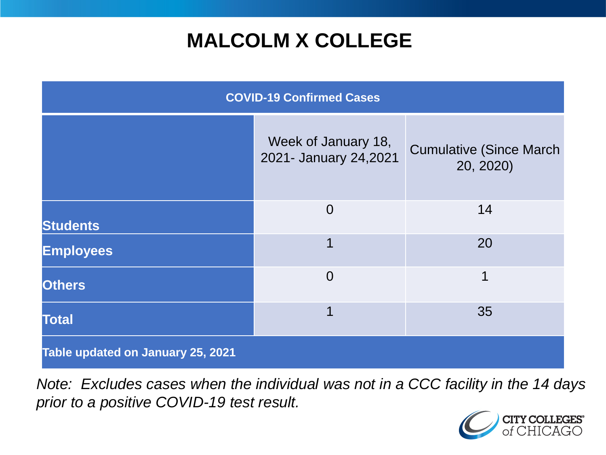## **MALCOLM X COLLEGE**

| <b>COVID-19 Confirmed Cases</b>   |                                              |                                              |
|-----------------------------------|----------------------------------------------|----------------------------------------------|
|                                   | Week of January 18,<br>2021- January 24,2021 | <b>Cumulative (Since March)</b><br>20, 2020) |
| <b>Students</b>                   | $\overline{0}$                               | 14                                           |
| <b>Employees</b>                  | 1                                            | 20                                           |
| <b>Others</b>                     | $\overline{0}$                               | 1                                            |
| <b>Total</b>                      | 1                                            | 35                                           |
| Table updated on January 25, 2021 |                                              |                                              |

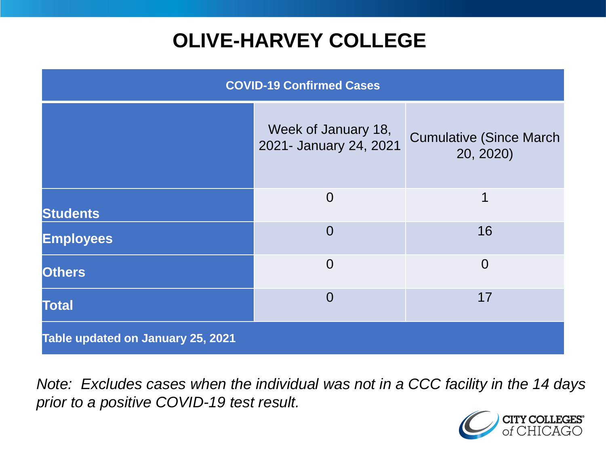# **OLIVE-HARVEY COLLEGE**

| <b>COVID-19 Confirmed Cases</b>   |                                               |                                              |
|-----------------------------------|-----------------------------------------------|----------------------------------------------|
|                                   | Week of January 18,<br>2021- January 24, 2021 | <b>Cumulative (Since March)</b><br>20, 2020) |
| <b>Students</b>                   | $\overline{0}$                                | 1                                            |
| <b>Employees</b>                  | $\Omega$                                      | 16                                           |
| <b>Others</b>                     | $\overline{0}$                                | $\overline{0}$                               |
| <b>Total</b>                      | $\Omega$                                      | 17                                           |
| Table updated on January 25, 2021 |                                               |                                              |

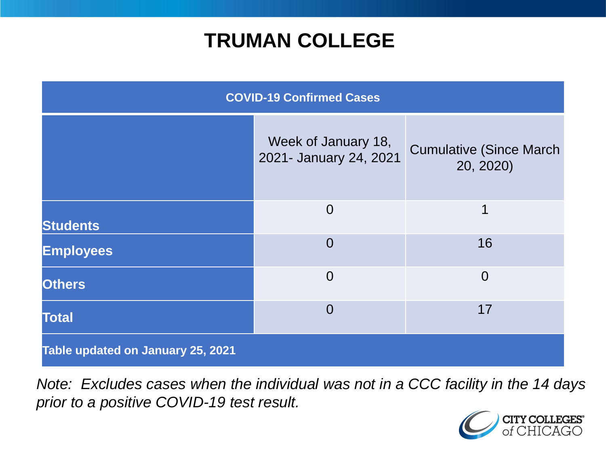## **TRUMAN COLLEGE**

| <b>COVID-19 Confirmed Cases</b>   |                                               |                                              |
|-----------------------------------|-----------------------------------------------|----------------------------------------------|
|                                   | Week of January 18,<br>2021- January 24, 2021 | <b>Cumulative (Since March)</b><br>20, 2020) |
| <b>Students</b>                   | $\overline{0}$                                | 1                                            |
| <b>Employees</b>                  | $\overline{0}$                                | 16                                           |
| <b>Others</b>                     | $\overline{0}$                                | $\overline{0}$                               |
| <b>Total</b>                      | $\overline{0}$                                | 17                                           |
| Table updated on January 25, 2021 |                                               |                                              |

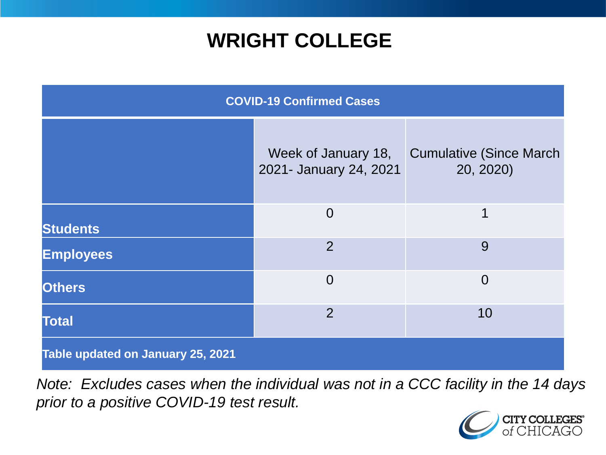## **WRIGHT COLLEGE**

| <b>COVID-19 Confirmed Cases</b>   |                                               |                                              |
|-----------------------------------|-----------------------------------------------|----------------------------------------------|
|                                   | Week of January 18,<br>2021- January 24, 2021 | <b>Cumulative (Since March)</b><br>20, 2020) |
| <b>Students</b>                   | $\overline{0}$                                | $\mathbf 1$                                  |
| <b>Employees</b>                  | $\overline{2}$                                | 9                                            |
| <b>Others</b>                     | $\overline{0}$                                | $\overline{0}$                               |
| <b>Total</b>                      | $\overline{2}$                                | 10                                           |
| Table updated on January 25, 2021 |                                               |                                              |